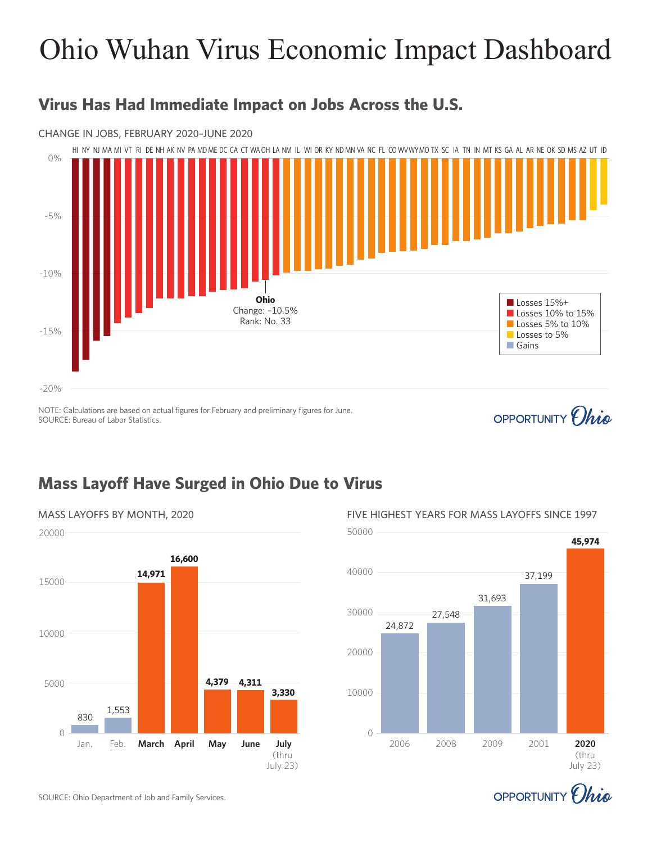# Ohio Wuhan Virus Economic Impact Dashboard

### **Virus Has Had Immediate Impact on Jobs Across the U.S.**

#### CHANGE IN JOBS, FEBRUARY 2020–JUNE 2020



#### NOTE: Calculations are based on actual figures for February and preliminary figures for June. SOURCE: Bureau of Labor Statistics.

## OPPORTUNITY *Ohio*

## **Mass Layoff Have Surged in Ohio Due to Virus**





2006 2008 2009 2001 **2020**

 $\cap$ 



(thru July 23)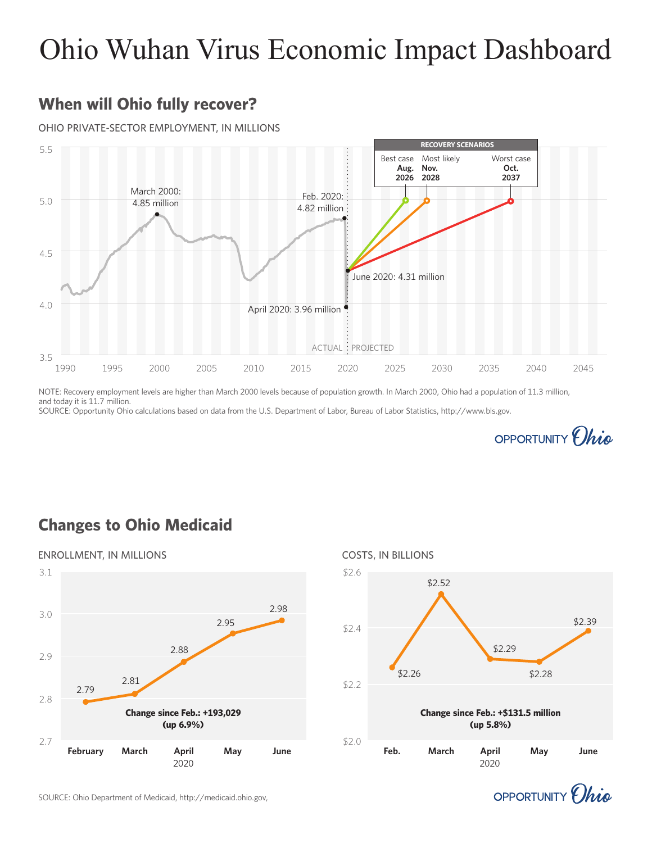# Ohio Wuhan Virus Economic Impact Dashboard

## **When will Ohio fully recover?**

#### OHIO PRIVATE-SECTOR EMPLOYMENT, IN MILLIONS



NOTE: Recovery employment levels are higher than March 2000 levels because of population growth. In March 2000, Ohio had a population of 11.3 million, and today it is 11.7 million.

SOURCE: Opportunity Ohio calculations based on data from the U.S. Department of Labor, Bureau of Labor Statistics, http://www.bls.gov.



## **Changes to Ohio Medicaid**







SOURCE: Ohio Department of Medicaid, http://medicaid.ohio.gov,